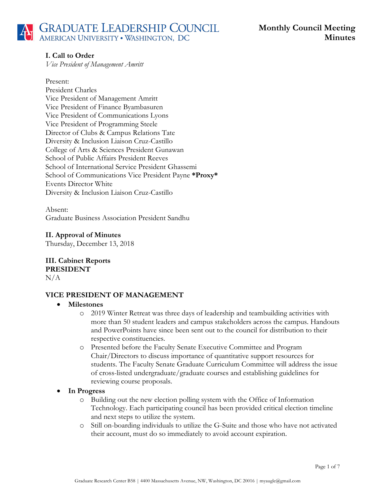# **I. Call to Order**

*Vice President of Management Amritt*

#### Present:

President Charles Vice President of Management Amritt Vice President of Finance Byambasuren Vice President of Communications Lyons Vice President of Programming Steele Director of Clubs & Campus Relations Tate Diversity & Inclusion Liaison Cruz-Castillo College of Arts & Sciences President Gunawan School of Public Affairs President Reeves School of International Service President Ghassemi School of Communications Vice President Payne **\*Proxy\*** Events Director White Diversity & Inclusion Liaison Cruz-Castillo

Absent: Graduate Business Association President Sandhu

**II. Approval of Minutes**

Thursday, December 13, 2018

**III. Cabinet Reports PRESIDENT**  $N/A$ 

# **VICE PRESIDENT OF MANAGEMENT**

#### • **Milestones**

- o 2019 Winter Retreat was three days of leadership and teambuilding activities with more than 50 student leaders and campus stakeholders across the campus. Handouts and PowerPoints have since been sent out to the council for distribution to their respective constituencies.
- o Presented before the Faculty Senate Executive Committee and Program Chair/Directors to discuss importance of quantitative support resources for students. The Faculty Senate Graduate Curriculum Committee will address the issue of cross-listed undergraduate/graduate courses and establishing guidelines for reviewing course proposals.

#### • **In Progress**

- o Building out the new election polling system with the Office of Information Technology. Each participating council has been provided critical election timeline and next steps to utilize the system.
- o Still on-boarding individuals to utilize the G-Suite and those who have not activated their account, must do so immediately to avoid account expiration.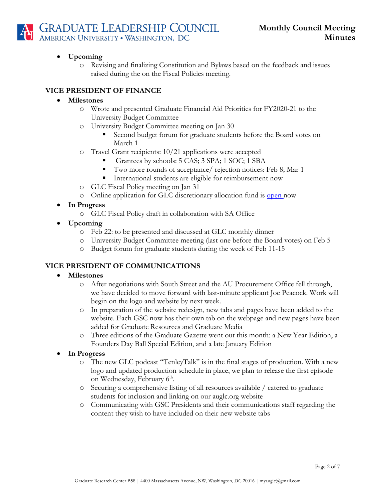

## • **Upcoming**

o Revising and finalizing Constitution and Bylaws based on the feedback and issues raised during the on the Fiscal Policies meeting.

# **VICE PRESIDENT OF FINANCE**

#### • **Milestones**

- o Wrote and presented Graduate Financial Aid Priorities for FY2020-21 to the University Budget Committee
- o University Budget Committee meeting on Jan 30
	- Second budget forum for graduate students before the Board votes on March 1
- o Travel Grant recipients: 10/21 applications were accepted
	- § Grantees by schools: 5 CAS; 3 SPA; 1 SOC; 1 SBA
	- § Two more rounds of acceptance/ rejection notices: Feb 8; Mar 1
	- International students are eligible for reimbursement now
- o GLC Fiscal Policy meeting on Jan 31
- o Online application for GLC discretionary allocation fund is open now
- **In Progress**
	- o GLC Fiscal Policy draft in collaboration with SA Office
- **Upcoming**
	- o Feb 22: to be presented and discussed at GLC monthly dinner
	- o University Budget Committee meeting (last one before the Board votes) on Feb 5
	- o Budget forum for graduate students during the week of Feb 11-15

# **VICE PRESIDENT OF COMMUNICATIONS**

#### • **Milestones**

- o After negotiations with South Street and the AU Procurement Office fell through, we have decided to move forward with last-minute applicant Joe Peacock. Work will begin on the logo and website by next week.
- o In preparation of the website redesign, new tabs and pages have been added to the website. Each GSC now has their own tab on the webpage and new pages have been added for Graduate Resources and Graduate Media
- o Three editions of the Graduate Gazette went out this month: a New Year Edition, a Founders Day Ball Special Edition, and a late January Edition
- **In Progress**
	- o The new GLC podcast "TenleyTalk" is in the final stages of production. With a new logo and updated production schedule in place, we plan to release the first episode on Wednesday, February 6<sup>th</sup>.
	- o Securing a comprehensive listing of all resources available / catered to graduate students for inclusion and linking on our auglc.org website
	- o Communicating with GSC Presidents and their communications staff regarding the content they wish to have included on their new website tabs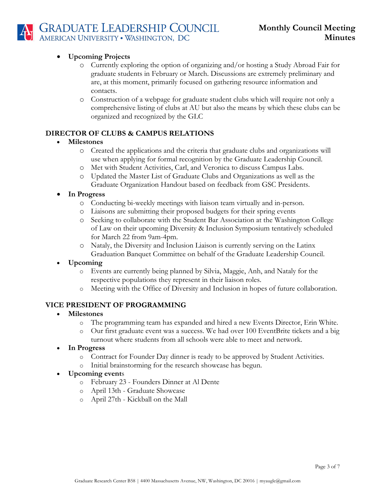

## • **Upcoming Projects**

- o Currently exploring the option of organizing and/or hosting a Study Abroad Fair for graduate students in February or March. Discussions are extremely preliminary and are, at this moment, primarily focused on gathering resource information and contacts.
- o Construction of a webpage for graduate student clubs which will require not only a comprehensive listing of clubs at AU but also the means by which these clubs can be organized and recognized by the GLC

# **DIRECTOR OF CLUBS & CAMPUS RELATIONS**

## • **Milestones**

- o Created the applications and the criteria that graduate clubs and organizations will use when applying for formal recognition by the Graduate Leadership Council.
- o Met with Student Activities, Carl, and Veronica to discuss Campus Labs.
- o Updated the Master List of Graduate Clubs and Organizations as well as the Graduate Organization Handout based on feedback from GSC Presidents.

## • **In Progress**

- o Conducting bi-weekly meetings with liaison team virtually and in-person.
- o Liaisons are submitting their proposed budgets for their spring events
- o Seeking to collaborate with the Student Bar Association at the Washington College of Law on their upcoming Diversity & Inclusion Symposium tentatively scheduled for March 22 from 9am-4pm.
- o Nataly, the Diversity and Inclusion Liaison is currently serving on the Latinx Graduation Banquet Committee on behalf of the Graduate Leadership Council.

# • **Upcoming**

- o Events are currently being planned by Silvia, Maggie, Anh, and Nataly for the respective populations they represent in their liaison roles.
- o Meeting with the Office of Diversity and Inclusion in hopes of future collaboration.

#### **VICE PRESIDENT OF PROGRAMMING**

- **Milestones**
	- o The programming team has expanded and hired a new Events Director, Erin White.
	- o Our first graduate event was a success. We had over 100 EventBrite tickets and a big turnout where students from all schools were able to meet and network.
- **In Progress**
	- o Contract for Founder Day dinner is ready to be approved by Student Activities.
	- o Initial brainstorming for the research showcase has begun.

#### • **Upcoming event**s

- o February 23 Founders Dinner at Al Dente
- o April 13th Graduate Showcase
- o April 27th Kickball on the Mall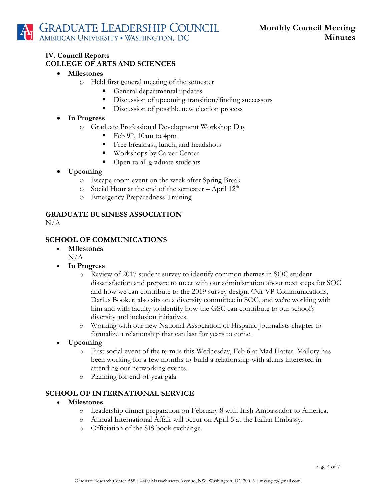#### **IV. Council Reports COLLEGE OF ARTS AND SCIENCES**

- **Milestones**
	- o Held first general meeting of the semester
		- General departmental updates
		- Discussion of upcoming transition/finding successors
		- Discussion of possible new election process
- **In Progress** 
	- o Graduate Professional Development Workshop Day
		- Feb  $9<sup>th</sup>$ , 10am to 4pm
		- § Free breakfast, lunch, and headshots
		- Workshops by Career Center
		- § Open to all graduate students
- **Upcoming**
	- o Escape room event on the week after Spring Break
	- $\circ$  Social Hour at the end of the semester April 12<sup>th</sup>
	- o Emergency Preparedness Training

# **GRADUATE BUSINESS ASSOCIATION**

 $N/A$ 

# **SCHOOL OF COMMUNICATIONS**

- **Milestones**
	- $N/A$
- **In Progress**
	- o Review of 2017 student survey to identify common themes in SOC student dissatisfaction and prepare to meet with our administration about next steps for SOC and how we can contribute to the 2019 survey design. Our VP Communications, Darius Booker, also sits on a diversity committee in SOC, and we're working with him and with faculty to identify how the GSC can contribute to our school's diversity and inclusion initiatives.
	- o Working with our new National Association of Hispanic Journalists chapter to formalize a relationship that can last for years to come.
- **Upcoming**
	- o First social event of the term is this Wednesday, Feb 6 at Mad Hatter. Mallory has been working for a few months to build a relationship with alums interested in attending our networking events.
	- o Planning for end-of-year gala

#### **SCHOOL OF INTERNATIONAL SERVICE**

- **Milestones**
	- o Leadership dinner preparation on February 8 with Irish Ambassador to America.
	- o Annual International Affair will occur on April 5 at the Italian Embassy.
	- o Officiation of the SIS book exchange.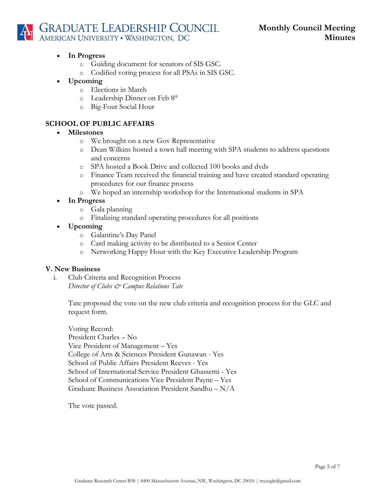# **GRADUATE LEADERSHIP COUNCIL**<br>AMERICAN UNIVERSITY • WASHINGTON, DC

# • **In Progress**

- o Guiding document for senators of SIS GSC.
- o Codified voting process for all PSAs in SIS GSC.
- **Upcoming** 
	- o Elections in March
	- o Leadership Dinner on Feb 8th
	- o Big-Four Social Hour

# **SCHOOL OF PUBLIC AFFAIRS**

# • **Milestones**

- o We brought on a new Gov Representative
- o Dean Wilkins hosted a town hall meeting with SPA students to address questions and concerns
- o SPA hosted a Book Drive and collected 100 books and dvds
- o Finance Team received the financial training and have created standard operating procedures for our finance process
- o We hoped an internship workshop for the International students in SPA
- **In Progress**
	- o Gala planning
	- o Finalizing standard operating procedures for all positions
- **Upcoming**
	- o Galantine's Day Panel
	- o Card making activity to be distributed to a Senior Center
	- o Networking Happy Hour with the Key Executive Leadership Program

# **V. New Business**

i. Club Criteria and Recognition Process *Director of Clubs*  $\mathcal{Q}$ *<sup>2</sup> Campus Relations Tate* 

> Tate proposed the vote on the new club criteria and recognition process for the GLC and request form.

Voting Record: President Charles – No Vice President of Management – Yes College of Arts & Sciences President Gunawan - Yes School of Public Affairs President Reeves - Yes School of International Service President Ghassemi - Yes School of Communications Vice President Payne – Yes Graduate Business Association President Sandhu – N/A

The vote passed.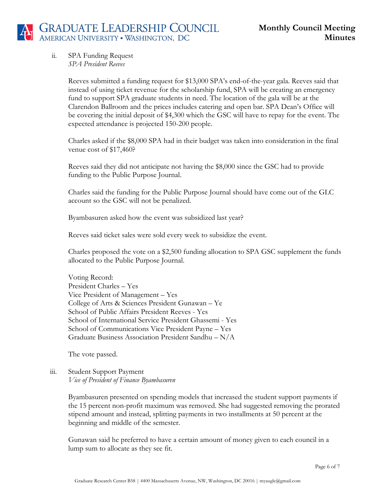ii. SPA Funding Request *SPA President Reeves*

> Reeves submitted a funding request for \$13,000 SPA's end-of-the-year gala. Reeves said that instead of using ticket revenue for the scholarship fund, SPA will be creating an emergency fund to support SPA graduate students in need. The location of the gala will be at the Clarendon Ballroom and the prices includes catering and open bar. SPA Dean's Office will be covering the initial deposit of \$4,300 which the GSC will have to repay for the event. The expected attendance is projected 150-200 people.

> Charles asked if the \$8,000 SPA had in their budget was taken into consideration in the final venue cost of \$17,460?

Reeves said they did not anticipate not having the \$8,000 since the GSC had to provide funding to the Public Purpose Journal.

Charles said the funding for the Public Purpose Journal should have come out of the GLC account so the GSC will not be penalized.

Byambasuren asked how the event was subsidized last year?

Reeves said ticket sales were sold every week to subsidize the event.

Charles proposed the vote on a \$2,500 funding allocation to SPA GSC supplement the funds allocated to the Public Purpose Journal.

Voting Record: President Charles – Yes Vice President of Management – Yes College of Arts & Sciences President Gunawan – Ye School of Public Affairs President Reeves - Yes School of International Service President Ghassemi - Yes School of Communications Vice President Payne – Yes Graduate Business Association President Sandhu – N/A

The vote passed.

#### iii. Student Support Payment *Vice of President of Finance Byambasuren*

Byambasuren presented on spending models that increased the student support payments if the 15 percent non-profit maximum was removed. She had suggested removing the prorated stipend amount and instead, splitting payments in two installments at 50 percent at the beginning and middle of the semester.

Gunawan said he preferred to have a certain amount of money given to each council in a lump sum to allocate as they see fit.